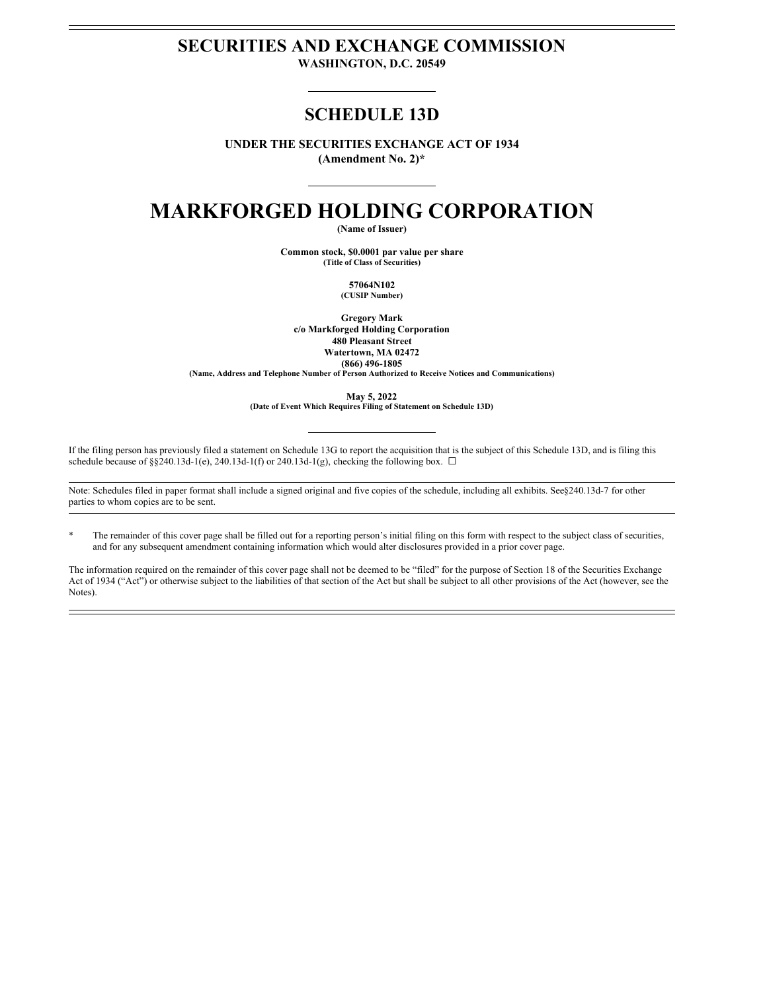# **SECURITIES AND EXCHANGE COMMISSION**

**WASHINGTON, D.C. 20549**

### **SCHEDULE 13D**

**UNDER THE SECURITIES EXCHANGE ACT OF 1934 (Amendment No. 2)\***

## **MARKFORGED HOLDING CORPORATION**

**(Name of Issuer)**

**Common stock, \$0.0001 par value per share (Title of Class of Securities)**

> **57064N102 (CUSIP Number)**

**Gregory Mark c/o Markforged Holding Corporation 480 Pleasant Street Watertown, MA 02472 (866) 496-1805 (Name, Address and Telephone Number of Person Authorized to Receive Notices and Communications)**

> **May 5, 2022 (Date of Event Which Requires Filing of Statement on Schedule 13D)**

If the filing person has previously filed a statement on Schedule 13G to report the acquisition that is the subject of this Schedule 13D, and is filing this schedule because of §§240.13d-1(e), 240.13d-1(f) or 240.13d-1(g), checking the following box.  $\Box$ 

Note: Schedules filed in paper format shall include a signed original and five copies of the schedule, including all exhibits. See§240.13d-7 for other parties to whom copies are to be sent.

The remainder of this cover page shall be filled out for a reporting person's initial filing on this form with respect to the subject class of securities, and for any subsequent amendment containing information which would alter disclosures provided in a prior cover page.

The information required on the remainder of this cover page shall not be deemed to be "filed" for the purpose of Section 18 of the Securities Exchange Act of 1934 ("Act") or otherwise subject to the liabilities of that section of the Act but shall be subject to all other provisions of the Act (however, see the Notes).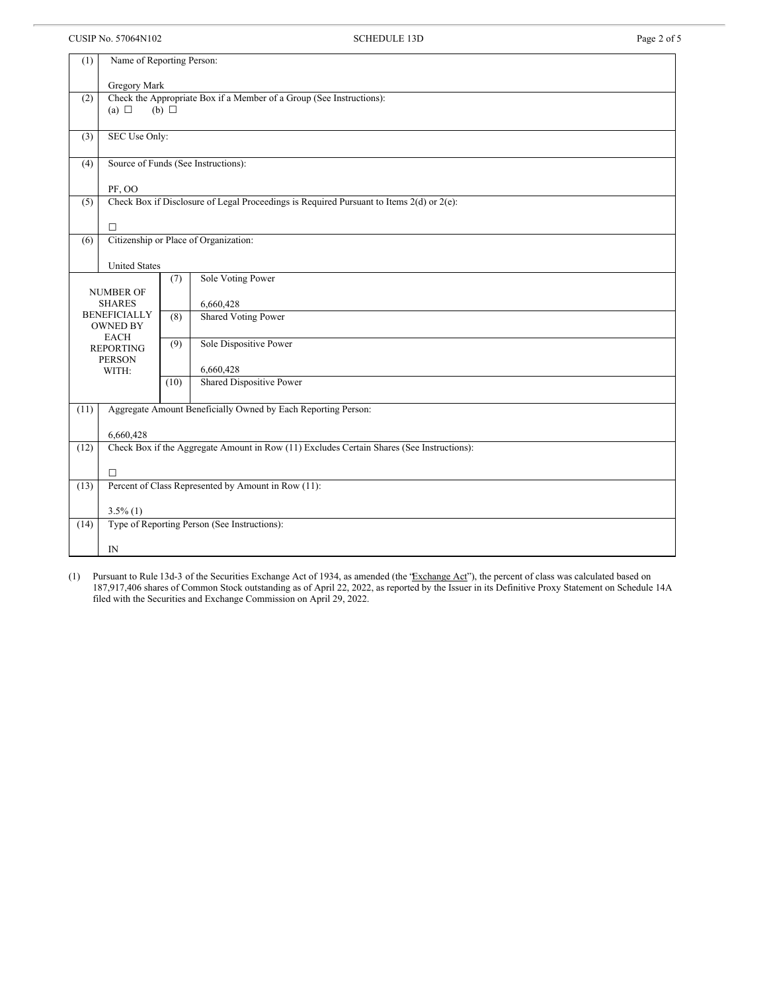CUSIP No. 57064N102 Page 2 of 5

| (1)                                          | Name of Reporting Person:                                                                             |      |                            |  |  |  |  |  |  |
|----------------------------------------------|-------------------------------------------------------------------------------------------------------|------|----------------------------|--|--|--|--|--|--|
|                                              | Gregory Mark                                                                                          |      |                            |  |  |  |  |  |  |
| (2)                                          | Check the Appropriate Box if a Member of a Group (See Instructions):<br>(a) $\Box$<br>$(b)$ $\square$ |      |                            |  |  |  |  |  |  |
|                                              |                                                                                                       |      |                            |  |  |  |  |  |  |
| (3)                                          | SEC Use Only:                                                                                         |      |                            |  |  |  |  |  |  |
| (4)                                          | Source of Funds (See Instructions):                                                                   |      |                            |  |  |  |  |  |  |
|                                              | PF, OO                                                                                                |      |                            |  |  |  |  |  |  |
| (5)                                          | Check Box if Disclosure of Legal Proceedings is Required Pursuant to Items $2(d)$ or $2(e)$ :         |      |                            |  |  |  |  |  |  |
|                                              | Π                                                                                                     |      |                            |  |  |  |  |  |  |
| Citizenship or Place of Organization:<br>(6) |                                                                                                       |      |                            |  |  |  |  |  |  |
| <b>United States</b>                         |                                                                                                       |      |                            |  |  |  |  |  |  |
| Sole Voting Power<br>(7)                     |                                                                                                       |      |                            |  |  |  |  |  |  |
| <b>NUMBER OF</b><br><b>SHARES</b>            |                                                                                                       |      | 6,660,428                  |  |  |  |  |  |  |
| <b>BENEFICIALLY</b><br><b>OWNED BY</b>       |                                                                                                       | (8)  | <b>Shared Voting Power</b> |  |  |  |  |  |  |
| <b>EACH</b>                                  |                                                                                                       | (9)  | Sole Dispositive Power     |  |  |  |  |  |  |
| <b>REPORTING</b><br><b>PERSON</b>            |                                                                                                       |      |                            |  |  |  |  |  |  |
|                                              | WITH:                                                                                                 |      | 6,660,428                  |  |  |  |  |  |  |
|                                              |                                                                                                       | (10) | Shared Dispositive Power   |  |  |  |  |  |  |
| (11)                                         | Aggregate Amount Beneficially Owned by Each Reporting Person:                                         |      |                            |  |  |  |  |  |  |
|                                              | 6,660,428                                                                                             |      |                            |  |  |  |  |  |  |
| (12)                                         | Check Box if the Aggregate Amount in Row (11) Excludes Certain Shares (See Instructions):             |      |                            |  |  |  |  |  |  |
|                                              | $\Box$                                                                                                |      |                            |  |  |  |  |  |  |
| (13)                                         | Percent of Class Represented by Amount in Row (11):                                                   |      |                            |  |  |  |  |  |  |
|                                              | $3.5\%$ (1)                                                                                           |      |                            |  |  |  |  |  |  |
| (14)                                         | Type of Reporting Person (See Instructions):                                                          |      |                            |  |  |  |  |  |  |
|                                              | IN                                                                                                    |      |                            |  |  |  |  |  |  |

(1) Pursuant to Rule 13d-3 of the Securities Exchange Act of 1934, as amended (the 'Exchange Act'), the percent of class was calculated based on 187,917,406 shares of Common Stock outstanding as of April 22, 2022, as reported by the Issuer in its Definitive Proxy Statement on Schedule 14A filed with the Securities and Exchange Commission on April 29, 2022.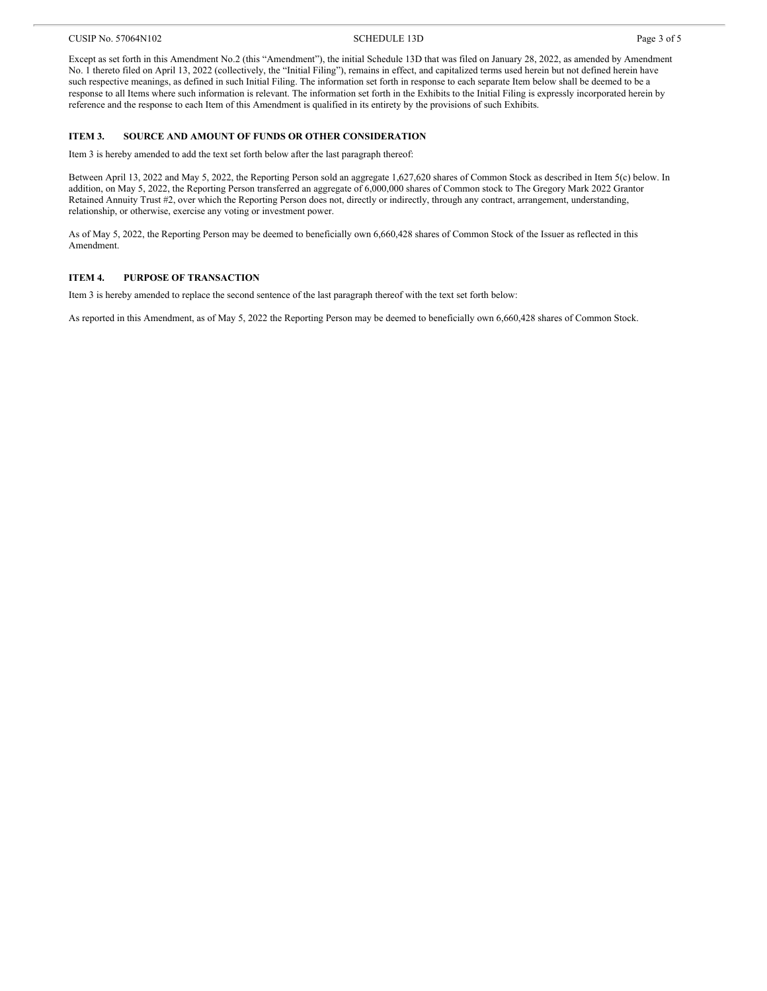Except as set forth in this Amendment No.2 (this "Amendment"), the initial Schedule 13D that was filed on January 28, 2022, as amended by Amendment No. 1 thereto filed on April 13, 2022 (collectively, the "Initial Filing"), remains in effect, and capitalized terms used herein but not defined herein have such respective meanings, as defined in such Initial Filing. The information set forth in response to each separate Item below shall be deemed to be a response to all Items where such information is relevant. The information set forth in the Exhibits to the Initial Filing is expressly incorporated herein by reference and the response to each Item of this Amendment is qualified in its entirety by the provisions of such Exhibits.

#### **ITEM 3. SOURCE AND AMOUNT OF FUNDS OR OTHER CONSIDERATION**

Item 3 is hereby amended to add the text set forth below after the last paragraph thereof:

Between April 13, 2022 and May 5, 2022, the Reporting Person sold an aggregate 1,627,620 shares of Common Stock as described in Item 5(c) below. In addition, on May 5, 2022, the Reporting Person transferred an aggregate of 6,000,000 shares of Common stock to The Gregory Mark 2022 Grantor Retained Annuity Trust #2, over which the Reporting Person does not, directly or indirectly, through any contract, arrangement, understanding, relationship, or otherwise, exercise any voting or investment power.

As of May 5, 2022, the Reporting Person may be deemed to beneficially own 6,660,428 shares of Common Stock of the Issuer as reflected in this Amendment.

### **ITEM 4. PURPOSE OF TRANSACTION**

Item 3 is hereby amended to replace the second sentence of the last paragraph thereof with the text set forth below:

As reported in this Amendment, as of May 5, 2022 the Reporting Person may be deemed to beneficially own 6,660,428 shares of Common Stock.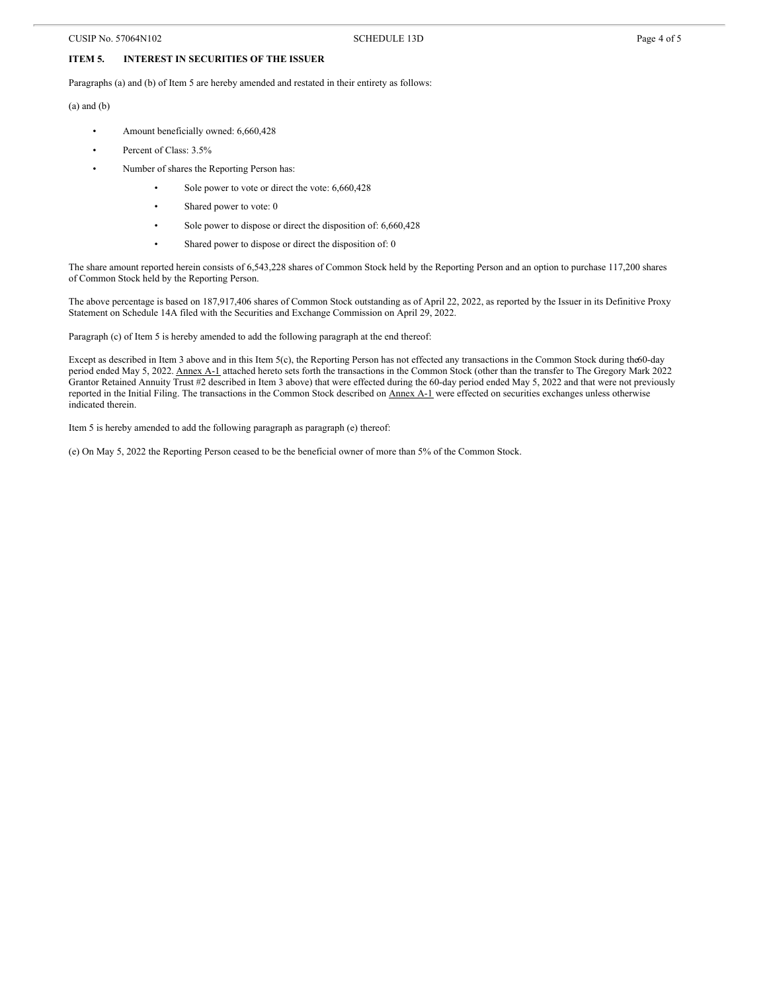#### **ITEM 5. INTEREST IN SECURITIES OF THE ISSUER**

Paragraphs (a) and (b) of Item 5 are hereby amended and restated in their entirety as follows:

(a) and (b)

- Amount beneficially owned: 6,660,428
- Percent of Class: 3.5%
- Number of shares the Reporting Person has:
	- Sole power to vote or direct the vote: 6,660,428
	- Shared power to vote: 0
	- Sole power to dispose or direct the disposition of: 6,660,428
	- Shared power to dispose or direct the disposition of: 0

The share amount reported herein consists of 6,543,228 shares of Common Stock held by the Reporting Person and an option to purchase 117,200 shares of Common Stock held by the Reporting Person.

The above percentage is based on 187,917,406 shares of Common Stock outstanding as of April 22, 2022, as reported by the Issuer in its Definitive Proxy Statement on Schedule 14A filed with the Securities and Exchange Commission on April 29, 2022.

Paragraph (c) of Item 5 is hereby amended to add the following paragraph at the end thereof:

Except as described in Item 3 above and in this Item 5(c), the Reporting Person has not effected any transactions in the Common Stock during the60-day period ended May 5, 2022. Annex A-1 attached hereto sets forth the transactions in the Common Stock (other than the transfer to The Gregory Mark 2022 Grantor Retained Annuity Trust #2 described in Item 3 above) that were effected during the 60-day period ended May 5, 2022 and that were not previously reported in the Initial Filing. The transactions in the Common Stock described on Annex A-1 were effected on securities exchanges unless otherwise indicated therein.

Item 5 is hereby amended to add the following paragraph as paragraph (e) thereof:

(e) On May 5, 2022 the Reporting Person ceased to be the beneficial owner of more than 5% of the Common Stock.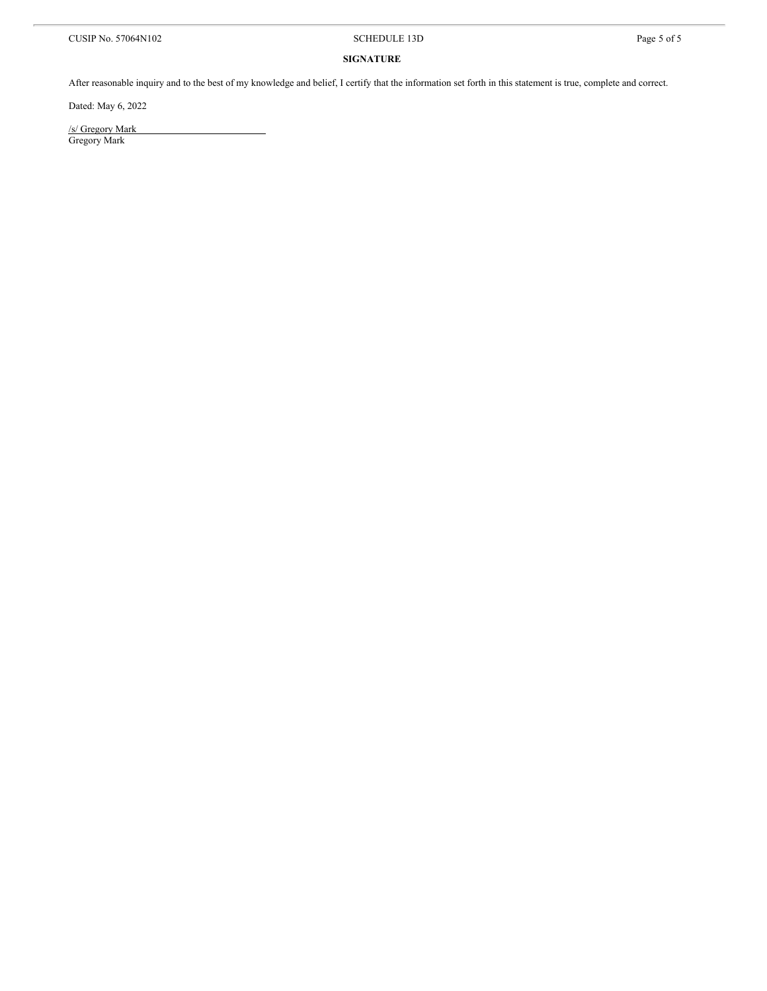#### **SIGNATURE**

After reasonable inquiry and to the best of my knowledge and belief, I certify that the information set forth in this statement is true, complete and correct.

Dated: May 6, 2022

/s/ Gregory Mark Gregory Mark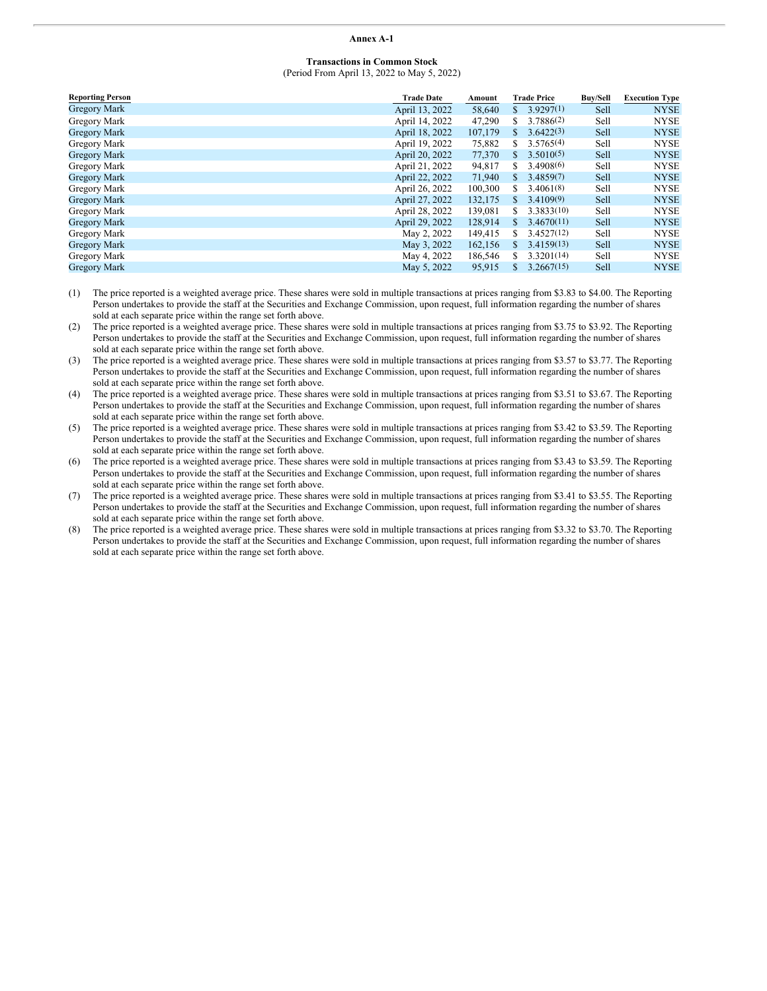#### **Annex A-1**

#### **Transactions in Common Stock** (Period From April 13, 2022 to May 5, 2022)

| <b>Reporting Person</b> | <b>Trade Date</b> | Amount  | <b>Trade Price</b> | <b>Buy/Sell</b> | <b>Execution Type</b> |
|-------------------------|-------------------|---------|--------------------|-----------------|-----------------------|
| <b>Gregory Mark</b>     | April 13, 2022    | 58,640  | \$3.9297(1)        | Sell            | <b>NYSE</b>           |
| Gregory Mark            | April 14, 2022    | 47,290  | 3.7886(2)<br>S     | Sell            | <b>NYSE</b>           |
| <b>Gregory Mark</b>     | April 18, 2022    | 107,179 | 3.6422(3)<br>S.    | Sell            | <b>NYSE</b>           |
| Gregory Mark            | April 19, 2022    | 75,882  | 3.5765(4)<br>S     | Sell            | <b>NYSE</b>           |
| <b>Gregory Mark</b>     | April 20, 2022    | 77,370  | 3.5010(5)<br>S.    | Sell            | <b>NYSE</b>           |
| Gregory Mark            | April 21, 2022    | 94,817  | 3.4908(6)<br>S     | Sell            | <b>NYSE</b>           |
| <b>Gregory Mark</b>     | April 22, 2022    | 71,940  | 3.4859(7)<br>S.    | Sell            | <b>NYSE</b>           |
| Gregory Mark            | April 26, 2022    | 100,300 | 3,4061(8)<br>S     | Sell            | <b>NYSE</b>           |
| <b>Gregory Mark</b>     | April 27, 2022    | 132,175 | 3.4109(9)<br>S.    | Sell            | <b>NYSE</b>           |
| Gregory Mark            | April 28, 2022    | 139,081 | 3.3833(10)<br>S    | Sell            | <b>NYSE</b>           |
| <b>Gregory Mark</b>     | April 29, 2022    | 128,914 | 3.4670(11)<br>S.   | Sell            | <b>NYSE</b>           |
| Gregory Mark            | May 2, 2022       | 149,415 | 3.4527(12)<br>S    | Sell            | <b>NYSE</b>           |
| <b>Gregory Mark</b>     | May 3, 2022       | 162,156 | 3.4159(13)<br>S.   | Sell            | <b>NYSE</b>           |
| Gregory Mark            | May 4, 2022       | 186,546 | 3.3201(14)<br>S    | Sell            | <b>NYSE</b>           |
| <b>Gregory Mark</b>     | May 5, 2022       | 95,915  | 3.2667(15)<br>S.   | Sell            | <b>NYSE</b>           |

- (1) The price reported is a weighted average price. These shares were sold in multiple transactions at prices ranging from \$3.83 to \$4.00. The Reporting Person undertakes to provide the staff at the Securities and Exchange Commission, upon request, full information regarding the number of shares sold at each separate price within the range set forth above.
- (2) The price reported is a weighted average price. These shares were sold in multiple transactions at prices ranging from \$3.75 to \$3.92. The Reporting Person undertakes to provide the staff at the Securities and Exchange Commission, upon request, full information regarding the number of shares sold at each separate price within the range set forth above.
- (3) The price reported is a weighted average price. These shares were sold in multiple transactions at prices ranging from \$3.57 to \$3.77. The Reporting Person undertakes to provide the staff at the Securities and Exchange Commission, upon request, full information regarding the number of shares sold at each separate price within the range set forth above.
- (4) The price reported is a weighted average price. These shares were sold in multiple transactions at prices ranging from \$3.51 to \$3.67. The Reporting Person undertakes to provide the staff at the Securities and Exchange Commission, upon request, full information regarding the number of shares sold at each separate price within the range set forth above.
- (5) The price reported is a weighted average price. These shares were sold in multiple transactions at prices ranging from \$3.42 to \$3.59. The Reporting Person undertakes to provide the staff at the Securities and Exchange Commission, upon request, full information regarding the number of shares sold at each separate price within the range set forth above.
- (6) The price reported is a weighted average price. These shares were sold in multiple transactions at prices ranging from \$3.43 to \$3.59. The Reporting Person undertakes to provide the staff at the Securities and Exchange Commission, upon request, full information regarding the number of shares sold at each separate price within the range set forth above.
- (7) The price reported is a weighted average price. These shares were sold in multiple transactions at prices ranging from \$3.41 to \$3.55. The Reporting Person undertakes to provide the staff at the Securities and Exchange Commission, upon request, full information regarding the number of shares sold at each separate price within the range set forth above.
- (8) The price reported is a weighted average price. These shares were sold in multiple transactions at prices ranging from \$3.32 to \$3.70. The Reporting Person undertakes to provide the staff at the Securities and Exchange Commission, upon request, full information regarding the number of shares sold at each separate price within the range set forth above.